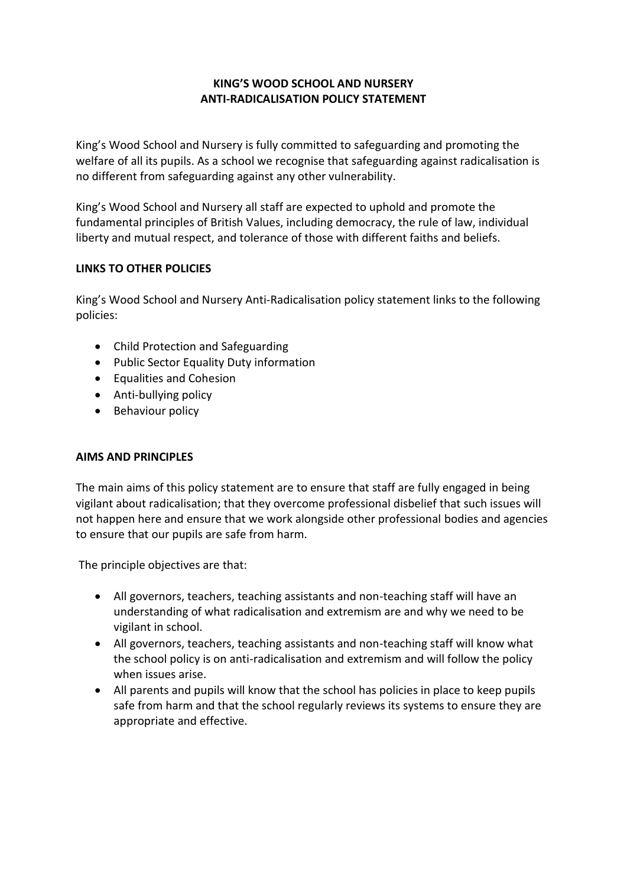# **KING'S WOOD SCHOOL AND NURSERY ANTI-RADICALISATION POLICY STATEMENT**

King's Wood School and Nursery is fully committed to safeguarding and promoting the welfare of all its pupils. As a school we recognise that safeguarding against radicalisation is no different from safeguarding against any other vulnerability.

King's Wood School and Nursery all staff are expected to uphold and promote the fundamental principles of British Values, including democracy, the rule of law, individual liberty and mutual respect, and tolerance of those with different faiths and beliefs.

## **LINKS TO OTHER POLICIES**

King's Wood School and Nursery Anti-Radicalisation policy statement links to the following policies:

- Child Protection and Safeguarding
- Public Sector Equality Duty information
- Equalities and Cohesion
- Anti-bullying policy
- Behaviour policy

## **AIMS AND PRINCIPLES**

The main aims of this policy statement are to ensure that staff are fully engaged in being vigilant about radicalisation; that they overcome professional disbelief that such issues will not happen here and ensure that we work alongside other professional bodies and agencies to ensure that our pupils are safe from harm.

The principle objectives are that:

- All governors, teachers, teaching assistants and non-teaching staff will have an understanding of what radicalisation and extremism are and why we need to be vigilant in school.
- All governors, teachers, teaching assistants and non-teaching staff will know what the school policy is on anti-radicalisation and extremism and will follow the policy when issues arise.
- All parents and pupils will know that the school has policies in place to keep pupils safe from harm and that the school regularly reviews its systems to ensure they are appropriate and effective.